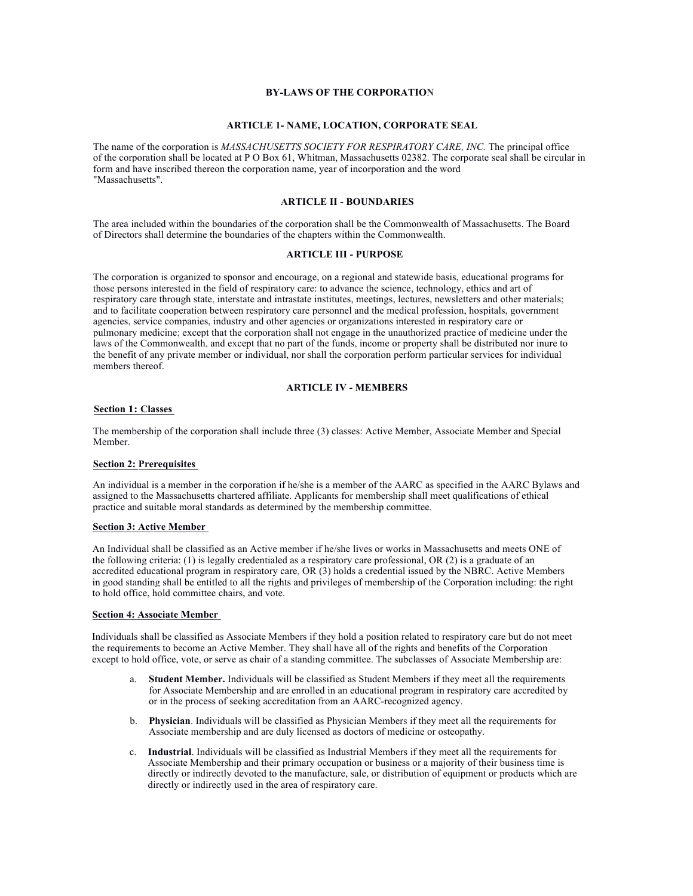# **BY-LAWS OF THE CORPORATION**

# **ARTICLE 1- NAME, LOCATION, CORPORATE SEAL**

The name of the corporation is *MASSACHUSETTS SOCIETY FOR RESPIRATORY CARE, INC.* The principal office of the corporation shall be located at P O Box 61, Whitman, Massachusetts 02382. The corporate seal shall be circular in form and have inscribed thereon the corporation name, year of incorporation and the word "Massachusetts".

# **ARTICLE II - BOUNDARIES**

The area included within the boundaries of the corporation shall be the Commonwealth of Massachusetts. The Board of Directors shall determine the boundaries of the chapters within the Commonwealth.

# **ARTICLE III - PURPOSE**

The corporation is organized to sponsor and encourage, on a regional and statewide basis, educational programs for those persons interested in the field of respiratory care: to advance the science, technology, ethics and art of respiratory care through state, interstate and intrastate institutes, meetings, lectures, newsletters and other materials; and to facilitate cooperation between respiratory care personnel and the medical profession, hospitals, government agencies, service companies, industry and other agencies or organizations interested in respiratory care or pulmonary medicine; except that the corporation shall not engage in the unauthorized practice of medicine under the laws of the Commonwealth, and except that no part of the funds, income or property shall be distributed nor inure to the benefit of any private member or individual, nor shall the corporation perform particular services for individual members thereof.

# **ARTICLE IV - MEMBERS**

# **Section 1: Classes**

The membership of the corporation shall include three (3) classes: Active Member, Associate Member and Special Member.

# **Section 2: Prerequisites**

An individual is a member in the corporation if he/she is a member of the AARC as specified in the AARC Bylaws and assigned to the Massachusetts chartered affiliate. Applicants for membership shall meet qualifications of ethical practice and suitable moral standards as determined by the membership committee.

## **Section 3: Active Member**

An Individual shall be classified as an Active member if he/she lives or works in Massachusetts and meets ONE of the following criteria: (1) is legally credentialed as a respiratory care professional, OR (2) is a graduate of an accredited educational program in respiratory care, OR (3) holds a credential issued by the NBRC. Active Members in good standing shall be entitled to all the rights and privileges of membership of the Corporation including: the right to hold office, hold committee chairs, and vote.

## **Section 4: Associate Member**

Individuals shall be classified as Associate Members if they hold a position related to respiratory care but do not meet the requirements to become an Active Member. They shall have all of the rights and benefits of the Corporation except to hold office, vote, or serve as chair of a standing committee. The subclasses of Associate Membership are:

- a. **Student Member.** Individuals will be classified as Student Members if they meet all the requirements for Associate Membership and are enrolled in an educational program in respiratory care accredited by or in the process of seeking accreditation from an AARC-recognized agency.
- b. **Physician**. Individuals will be classified as Physician Members if they meet all the requirements for Associate membership and are duly licensed as doctors of medicine or osteopathy.
- c. **Industrial**. Individuals will be classified as Industrial Members if they meet all the requirements for Associate Membership and their primary occupation or business or a majority of their business time is directly or indirectly devoted to the manufacture, sale, or distribution of equipment or products which are directly or indirectly used in the area of respiratory care.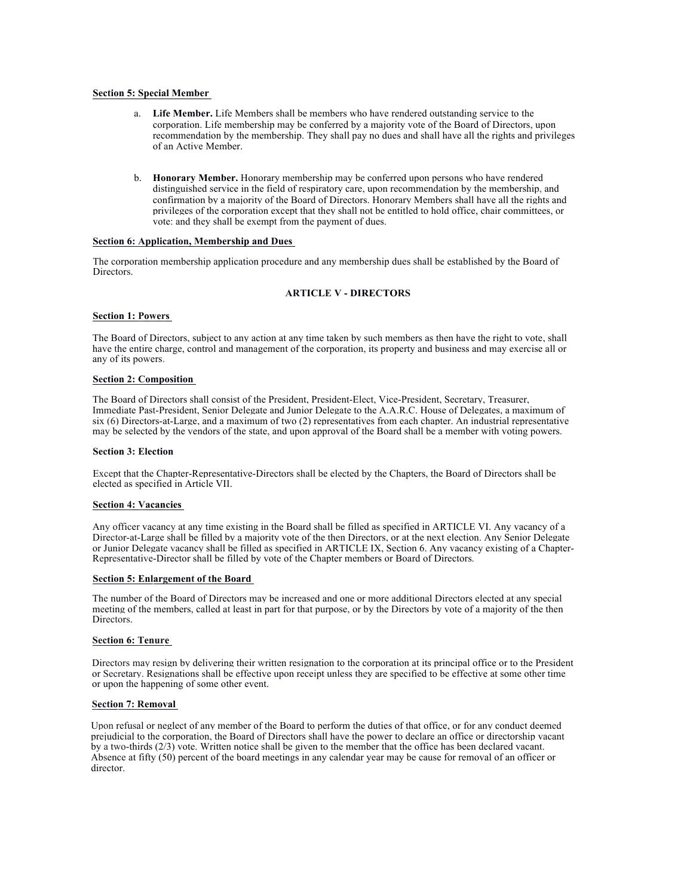# **Section 5: Special Member**

- a. **Life Member.** Life Members shall be members who have rendered outstanding service to the corporation. Life membership may be conferred by a majority vote of the Board of Directors, upon recommendation by the membership. They shall pay no dues and shall have all the rights and privileges of an Active Member.
- b. **Honorary Member.** Honorary membership may be conferred upon persons who have rendered distinguished service in the field of respiratory care, upon recommendation by the membership, and confirmation by a majority of the Board of Directors. Honorary Members shall have all the rights and privileges of the corporation except that they shall not be entitled to hold office, chair committees, or vote: and they shall be exempt from the payment of dues.

## **Section 6: Application, Membership and Dues**

The corporation membership application procedure and any membership dues shall be established by the Board of **Directors** 

# **ARTICLE V - DIRECTORS**

## **Section 1: Powers**

The Board of Directors, subject to any action at any time taken by such members as then have the right to vote, shall have the entire charge, control and management of the corporation, its property and business and may exercise all or any of its powers.

## **Section 2: Composition**

The Board of Directors shall consist of the President, President-Elect, Vice-President, Secretary, Treasurer, Immediate Past-President, Senior Delegate and Junior Delegate to the A.A.R.C. House of Delegates, a maximum of six (6) Directors-at-Large, and a maximum of two (2) representatives from each chapter. An industrial representative may be selected by the vendors of the state, and upon approval of the Board shall be a member with voting powers.

## **Section 3: Election**

Except that the Chapter-Representative-Directors shall be elected by the Chapters, the Board of Directors shall be elected as specified in Article VII.

## **Section 4: Vacancies**

Any officer vacancy at any time existing in the Board shall be filled as specified in ARTICLE VI. Any vacancy of a Director-at-Large shall be filled by a majority vote of the then Directors, or at the next election. Any Senior Delegate or Junior Delegate vacancy shall be filled as specified in ARTICLE IX, Section 6. Any vacancy existing of a Chapter-Representative-Director shall be filled by vote of the Chapter members or Board of Directors.

#### **Section 5: Enlargement of the Board**

The number of the Board of Directors may be increased and one or more additional Directors elected at any special meeting of the members, called at least in part for that purpose, or by the Directors by vote of a majority of the then Directors.

# **Section 6: Tenure**

Directors may resign by delivering their written resignation to the corporation at its principal office or to the President or Secretary. Resignations shall be effective upon receipt unless they are specified to be effective at some other time or upon the happening of some other event.

# **Section 7: Removal**

Upon refusal or neglect of any member of the Board to perform the duties of that office, or for any conduct deemed prejudicial to the corporation, the Board of Directors shall have the power to declare an office or directorship vacant by a two-thirds (2/3) vote. Written notice shall be given to the member that the office has been declared vacant. Absence at fifty (50) percent of the board meetings in any calendar year may be cause for removal of an officer or director.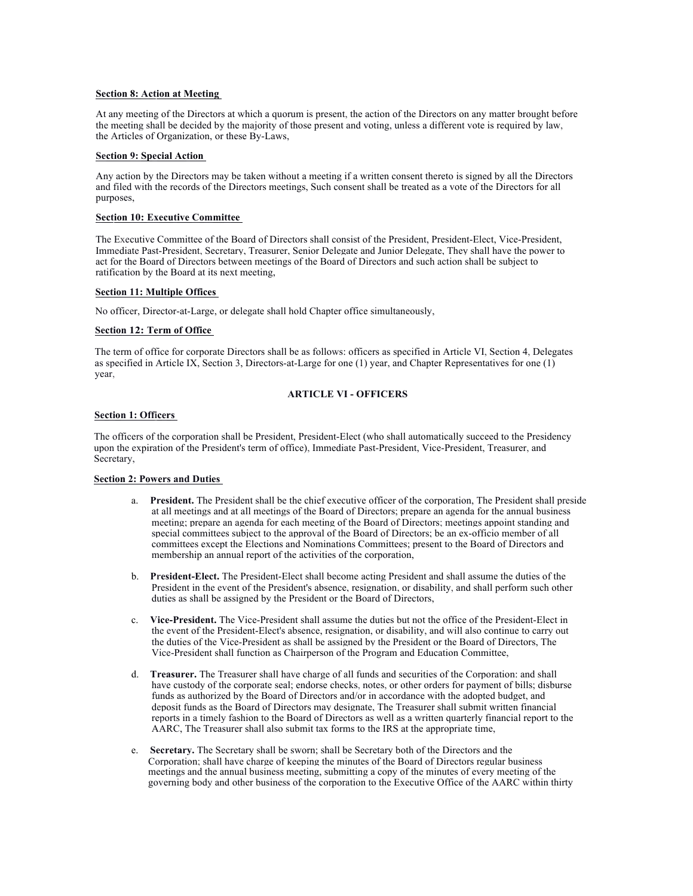## **Section 8: Action at Meeting**

At any meeting of the Directors at which a quorum is present, the action of the Directors on any matter brought before the meeting shall be decided by the majority of those present and voting, unless a different vote is required by law, the Articles of Organization, or these By-Laws,

## **Section 9: Special Action**

Any action by the Directors may be taken without a meeting if a written consent thereto is signed by all the Directors and filed with the records of the Directors meetings, Such consent shall be treated as a vote of the Directors for all purposes,

# **Section 10: Executive Committee**

The Executive Committee of the Board of Directors shall consist of the President, President-Elect, Vice-President, Immediate Past-President, Secretary, Treasurer, Senior Delegate and Junior Delegate, They shall have the power to act for the Board of Directors between meetings of the Board of Directors and such action shall be subject to ratification by the Board at its next meeting,

## **Section 11: Multiple Offices**

No officer, Director-at-Large, or delegate shall hold Chapter office simultaneously,

## **Section 12: Term of Office**

The term of office for corporate Directors shall be as follows: officers as specified in Article VI, Section 4, Delegates as specified in Article IX, Section 3, Directors-at-Large for one (1) year, and Chapter Representatives for one (1) year,

# **ARTICLE VI - OFFICERS**

# **Section 1: Officers**

The officers of the corporation shall be President, President-Elect (who shall automatically succeed to the Presidency upon the expiration of the President's term of office), Immediate Past-President, Vice-President, Treasurer, and Secretary,

# **Section 2: Powers and Duties**

- a. **President.** The President shall be the chief executive officer of the corporation, The President shall preside at all meetings and at all meetings of the Board of Directors; prepare an agenda for the annual business meeting; prepare an agenda for each meeting of the Board of Directors; meetings appoint standing and special committees subject to the approval of the Board of Directors; be an ex-officio member of all committees except the Elections and Nominations Committees; present to the Board of Directors and membership an annual report of the activities of the corporation,
- b. **President-Elect.** The President-Elect shall become acting President and shall assume the duties of the President in the event of the President's absence, resignation, or disability, and shall perform such other duties as shall be assigned by the President or the Board of Directors,
- c. **Vice-President.** The Vice-President shall assume the duties but not the office of the President-Elect in the event of the President-Elect's absence, resignation, or disability, and will also continue to carry out the duties of the Vice-President as shall be assigned by the President or the Board of Directors, The Vice-President shall function as Chairperson of the Program and Education Committee,
- d. **Treasurer.** The Treasurer shall have charge of all funds and securities of the Corporation: and shall have custody of the corporate seal; endorse checks, notes, or other orders for payment of bills; disburse funds as authorized by the Board of Directors and/or in accordance with the adopted budget, and deposit funds as the Board of Directors may designate, The Treasurer shall submit written financial reports in a timely fashion to the Board of Directors as well as a written quarterly financial report to the AARC, The Treasurer shall also submit tax forms to the IRS at the appropriate time,
- e. **Secretary.** The Secretary shall be sworn; shall be Secretary both of the Directors and the Corporation; shall have charge of keeping the minutes of the Board of Directors regular business meetings and the annual business meeting, submitting a copy of the minutes of every meeting of the governing body and other business of the corporation to the Executive Office of the AARC within thirty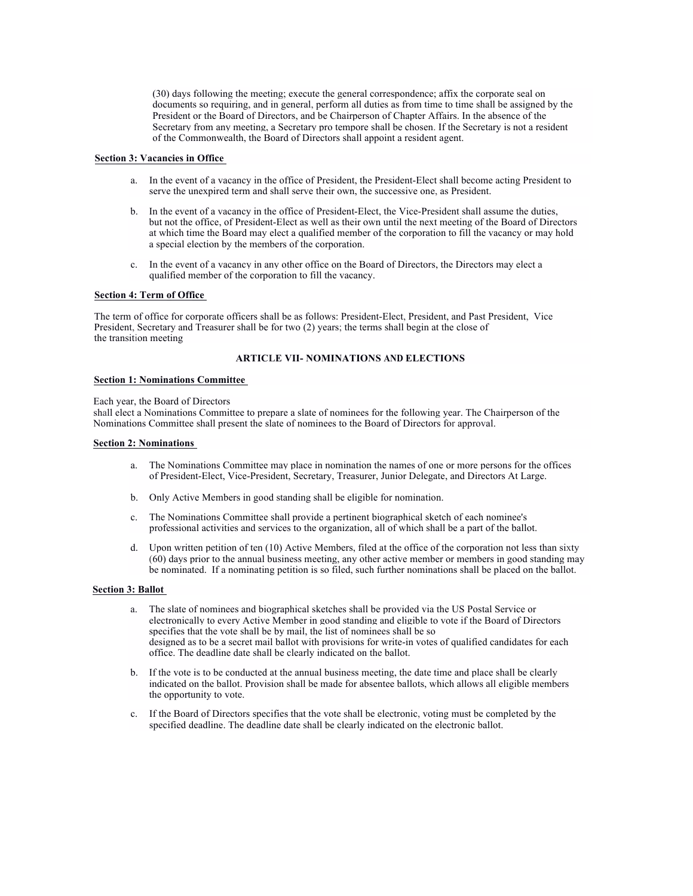(30) days following the meeting; execute the general correspondence; affix the corporate seal on documents so requiring, and in general, perform all duties as from time to time shall be assigned by the President or the Board of Directors, and be Chairperson of Chapter Affairs. In the absence of the Secretary from any meeting, a Secretary pro tempore shall be chosen. If the Secretary is not a resident of the Commonwealth, the Board of Directors shall appoint a resident agent.

## **Section 3: Vacancies in Office**

- a. In the event of a vacancy in the office of President, the President-Elect shall become acting President to serve the unexpired term and shall serve their own, the successive one, as President.
- b. In the event of a vacancy in the office of President-Elect, the Vice-President shall assume the duties, but not the office, of President-Elect as well as their own until the next meeting of the Board of Directors at which time the Board may elect a qualified member of the corporation to fill the vacancy or may hold a special election by the members of the corporation.
- c. In the event of a vacancy in any other office on the Board of Directors, the Directors may elect a qualified member of the corporation to fill the vacancy.

## **Section 4: Term of Office**

The term of office for corporate officers shall be as follows: President-Elect, President, and Past President, Vice President, Secretary and Treasurer shall be for two (2) years; the terms shall begin at the close of the transition meeting

# **ARTICLE VII- NOMINATIONS AND ELECTIONS**

# **Section 1: Nominations Committee**

#### Each year, the Board of Directors

shall elect a Nominations Committee to prepare a slate of nominees for the following year. The Chairperson of the Nominations Committee shall present the slate of nominees to the Board of Directors for approval.

## **Section 2: Nominations**

- a. The Nominations Committee may place in nomination the names of one or more persons for the offices of President-Elect, Vice-President, Secretary, Treasurer, Junior Delegate, and Directors At Large.
- b. Only Active Members in good standing shall be eligible for nomination.
- c. The Nominations Committee shall provide a pertinent biographical sketch of each nominee's professional activities and services to the organization, all of which shall be a part of the ballot.
- d. Upon written petition of ten (10) Active Members, filed at the office of the corporation not less than sixty (60) days prior to the annual business meeting, any other active member or members in good standing may be nominated. If a nominating petition is so filed, such further nominations shall be placed on the ballot.

#### **Section 3: Ballot**

- a. The slate of nominees and biographical sketches shall be provided via the US Postal Service or electronically to every Active Member in good standing and eligible to vote if the Board of Directors specifies that the vote shall be by mail, the list of nominees shall be so designed as to be a secret mail ballot with provisions for write-in votes of qualified candidates for each office. The deadline date shall be clearly indicated on the ballot.
- b. If the vote is to be conducted at the annual business meeting, the date time and place shall be clearly indicated on the ballot. Provision shall be made for absentee ballots, which allows all eligible members the opportunity to vote.
- If the Board of Directors specifies that the vote shall be electronic, voting must be completed by the specified deadline. The deadline date shall be clearly indicated on the electronic ballot.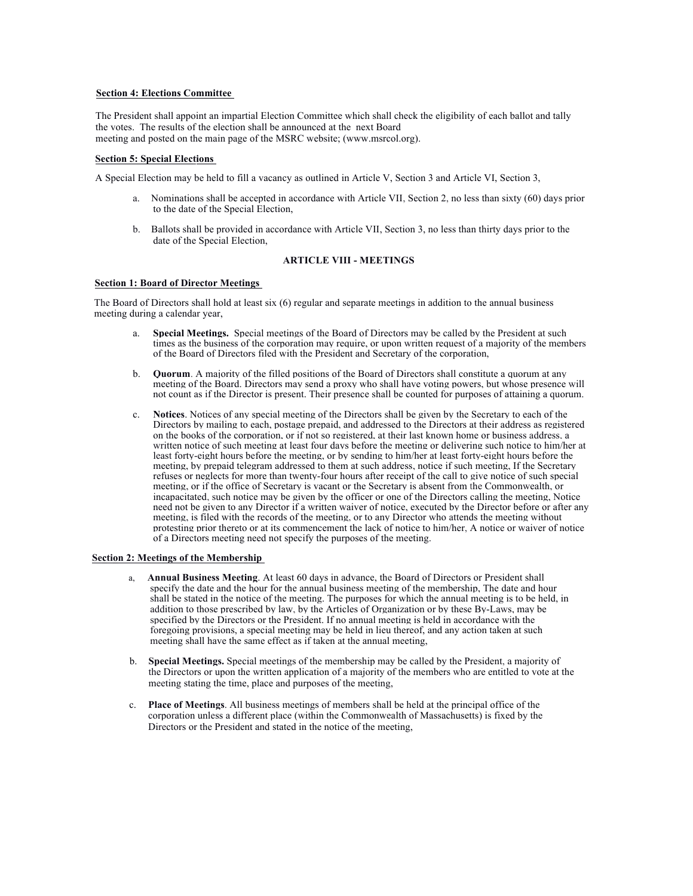# **Section 4: Elections Committee**

The President shall appoint an impartial Election Committee which shall check the eligibility of each ballot and tally the votes. The results of the election shall be announced at the next Board meeting and posted on the main page of the MSRC website; (www.msrcol.org).

## **Section 5: Special Elections**

A Special Election may be held to fill a vacancy as outlined in Article V, Section 3 and Article VI, Section 3,

- a. Nominations shall be accepted in accordance with Article VII, Section 2, no less than sixty (60) days prior to the date of the Special Election,
- b. Ballots shall be provided in accordance with Article VII, Section 3, no less than thirty days prior to the date of the Special Election,

# **ARTICLE VIII - MEETINGS**

## **Section 1: Board of Director Meetings**

The Board of Directors shall hold at least six (6) regular and separate meetings in addition to the annual business meeting during a calendar year,

- a. **Special Meetings.** Special meetings of the Board of Directors may be called by the President at such times as the business of the corporation may require, or upon written request of a majority of the members of the Board of Directors filed with the President and Secretary of the corporation,
- b. **Quorum**. A majority of the filled positions of the Board of Directors shall constitute a quorum at any meeting of the Board. Directors may send a proxy who shall have voting powers, but whose presence will not count as if the Director is present. Their presence shall be counted for purposes of attaining a quorum.
- c. **Notices**. Notices of any special meeting of the Directors shall be given by the Secretary to each of the Directors by mailing to each, postage prepaid, and addressed to the Directors at their address as registered on the books of the corporation, or if not so registered, at their last known home or business address, a written notice of such meeting at least four days before the meeting or delivering such notice to him/her at least forty-eight hours before the meeting, or by sending to him/her at least forty-eight hours before the meeting, by prepaid telegram addressed to them at such address, notice if such meeting, If the Secretary refuses or neglects for more than twenty-four hours after receipt of the call to give notice of such special meeting, or if the office of Secretary is vacant or the Secretary is absent from the Commonwealth, or incapacitated, such notice may be given by the officer or one of the Directors calling the meeting, Notice need not be given to any Director if a written waiver of notice, executed by the Director before or after any meeting, is filed with the records of the meeting, or to any Director who attends the meeting without protesting prior thereto or at its commencement the lack of notice to him/her, A notice or waiver of notice of a Directors meeting need not specify the purposes of the meeting.

## **Section 2: Meetings of the Membership**

- Annual Business Meeting. At least 60 days in advance, the Board of Directors or President shall specify the date and the hour for the annual business meeting of the membership, The date and hour shall be stated in the notice of the meeting. The purposes for which the annual meeting is to be held, in addition to those prescribed by law, by the Articles of Organization or by these By-Laws, may be specified by the Directors or the President. If no annual meeting is held in accordance with the foregoing provisions, a special meeting may be held in lieu thereof, and any action taken at such meeting shall have the same effect as if taken at the annual meeting,
- b. **Special Meetings.** Special meetings of the membership may be called by the President, a majority of the Directors or upon the written application of a majority of the members who are entitled to vote at the meeting stating the time, place and purposes of the meeting,
- c. **Place of Meetings**. All business meetings of members shall be held at the principal office of the corporation unless a different place (within the Commonwealth of Massachusetts) is fixed by the Directors or the President and stated in the notice of the meeting,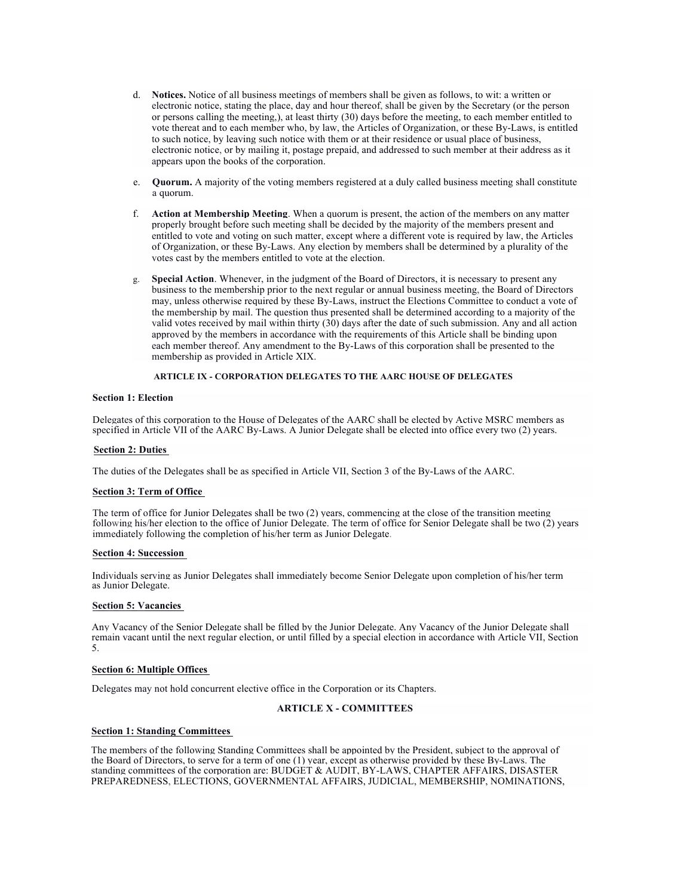- d. **Notices.** Notice of all business meetings of members shall be given as follows, to wit: a written or electronic notice, stating the place, day and hour thereof, shall be given by the Secretary (or the person or persons calling the meeting,), at least thirty (30) days before the meeting, to each member entitled to vote thereat and to each member who, by law, the Articles of Organization, or these By-Laws, is entitled to such notice, by leaving such notice with them or at their residence or usual place of business, electronic notice, or by mailing it, postage prepaid, and addressed to such member at their address as it appears upon the books of the corporation.
- e. **Quorum.** A majority of the voting members registered at a duly called business meeting shall constitute a quorum.
- f. **Action at Membership Meeting**. When a quorum is present, the action of the members on any matter properly brought before such meeting shall be decided by the majority of the members present and entitled to vote and voting on such matter, except where a different vote is required by law, the Articles of Organization, or these By-Laws. Any election by members shall be determined by a plurality of the votes cast by the members entitled to vote at the election.
- g. **Special Action**. Whenever, in the judgment of the Board of Directors, it is necessary to present any business to the membership prior to the next regular or annual business meeting, the Board of Directors may, unless otherwise required by these By-Laws, instruct the Elections Committee to conduct a vote of the membership by mail. The question thus presented shall be determined according to a majority of the valid votes received by mail within thirty (30) days after the date of such submission. Any and all action approved by the members in accordance with the requirements of this Article shall be binding upon each member thereof. Any amendment to the By-Laws of this corporation shall be presented to the membership as provided in Article XIX.

# **ARTICLE IX - CORPORATION DELEGATES TO THE AARC HOUSE OF DELEGATES**

# **Section 1: Election**

Delegates of this corporation to the House of Delegates of the AARC shall be elected by Active MSRC members as specified in Article VII of the AARC By-Laws. A Junior Delegate shall be elected into office every two (2) years.

## **Section 2: Duties**

The duties of the Delegates shall be as specified in Article VII, Section 3 of the By-Laws of the AARC.

# **Section 3: Term of Office**

The term of office for Junior Delegates shall be two (2) years, commencing at the close of the transition meeting following his/her election to the office of Junior Delegate. The term of office for Senior Delegate shall be two (2) years immediately following the completion of his/her term as Junior Delegate.

#### **Section 4: Succession**

Individuals serving as Junior Delegates shall immediately become Senior Delegate upon completion of his/her term as Junior Delegate.

#### **Section 5: Vacancies**

Any Vacancy of the Senior Delegate shall be filled by the Junior Delegate. Any Vacancy of the Junior Delegate shall remain vacant until the next regular election, or until filled by a special election in accordance with Article VII, Section 5.

## **Section 6: Multiple Offices**

Delegates may not hold concurrent elective office in the Corporation or its Chapters.

# **ARTICLE X - COMMITTEES**

# **Section 1: Standing Committees**

The members of the following Standing Committees shall be appointed by the President, subject to the approval of the Board of Directors, to serve for a term of one (1) year, except as otherwise provided by these By-Laws. The standing committees of the corporation are: BUDGET & AUDIT, BY-LAWS, CHAPTER AFFAIRS, DISASTER PREPAREDNESS, ELECTIONS, GOVERNMENTAL AFFAIRS, JUDICIAL, MEMBERSHIP, NOMINATIONS,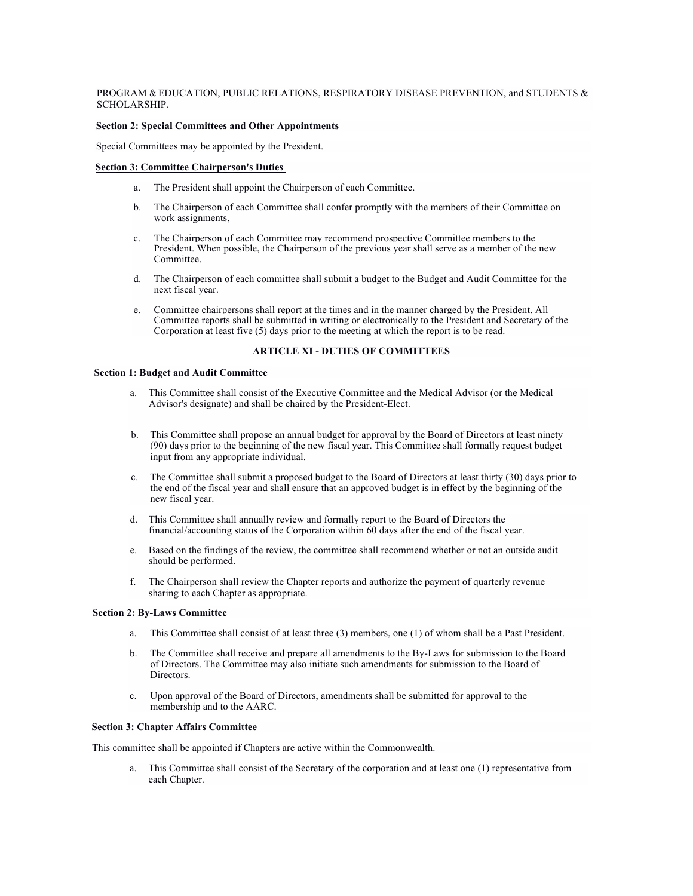# PROGRAM & EDUCATION, PUBLIC RELATIONS, RESPIRATORY DISEASE PREVENTION, and STUDENTS & SCHOLARSHIP.

## **Section 2: Special Committees and Other Appointments**

Special Committees may be appointed by the President.

# **Section 3: Committee Chairperson's Duties**

- a. The President shall appoint the Chairperson of each Committee.
- b. The Chairperson of each Committee shall confer promptly with the members of their Committee on work assignments,
- c. The Chairperson of each Committee may recommend prospective Committee members to the President. When possible, the Chairperson of the previous year shall serve as a member of the new **Committee**
- d. The Chairperson of each committee shall submit a budget to the Budget and Audit Committee for the next fiscal year.
- e. Committee chairpersons shall report at the times and in the manner charged by the President. All Committee reports shall be submitted in writing or electronically to the President and Secretary of the Corporation at least five (5) days prior to the meeting at which the report is to be read.

## **ARTICLE XI - DUTIES OF COMMITTEES**

# **Section 1: Budget and Audit Committee**

- a. This Committee shall consist of the Executive Committee and the Medical Advisor (or the Medical Advisor's designate) and shall be chaired by the President-Elect.
- b. This Committee shall propose an annual budget for approval by the Board of Directors at least ninety (90) days prior to the beginning of the new fiscal year. This Committee shall formally request budget input from any appropriate individual.
- c. The Committee shall submit a proposed budget to the Board of Directors at least thirty (30) days prior to the end of the fiscal year and shall ensure that an approved budget is in effect by the beginning of the new fiscal year.
- d. This Committee shall annually review and formally report to the Board of Directors the financial/accounting status of the Corporation within 60 days after the end of the fiscal year.
- e. Based on the findings of the review, the committee shall recommend whether or not an outside audit should be performed.
- f. The Chairperson shall review the Chapter reports and authorize the payment of quarterly revenue sharing to each Chapter as appropriate.

#### **Section 2: By-Laws Committee**

- a. This Committee shall consist of at least three (3) members, one (1) of whom shall be a Past President.
- b. The Committee shall receive and prepare all amendments to the By-Laws for submission to the Board of Directors. The Committee may also initiate such amendments for submission to the Board of Directors.
- c. Upon approval of the Board of Directors, amendments shall be submitted for approval to the membership and to the AARC.

# **Section 3: Chapter Affairs Committee**

This committee shall be appointed if Chapters are active within the Commonwealth.

a. This Committee shall consist of the Secretary of the corporation and at least one (1) representative from each Chapter.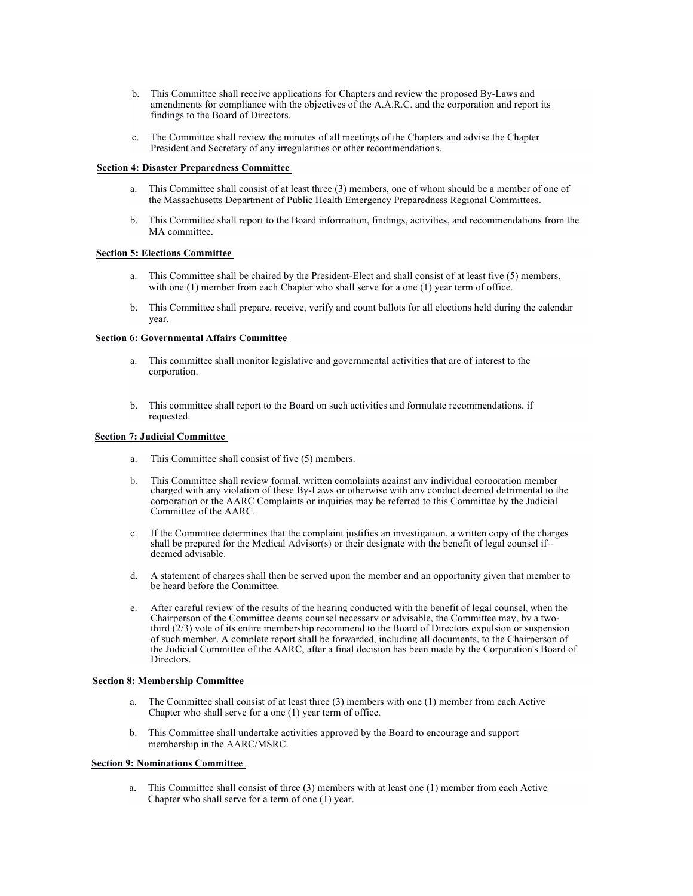- b. This Committee shall receive applications for Chapters and review the proposed By-Laws and amendments for compliance with the objectives of the A.A.R.C. and the corporation and report its findings to the Board of Directors.
- c. The Committee shall review the minutes of all meetings of the Chapters and advise the Chapter President and Secretary of any irregularities or other recommendations.

## **Section 4: Disaster Preparedness Committee**

- a. This Committee shall consist of at least three (3) members, one of whom should be a member of one of the Massachusetts Department of Public Health Emergency Preparedness Regional Committees.
- b. This Committee shall report to the Board information, findings, activities, and recommendations from the MA committee.

## **Section 5: Elections Committee**

- a. This Committee shall be chaired by the President-Elect and shall consist of at least five (5) members, with one (1) member from each Chapter who shall serve for a one (1) year term of office.
- b. This Committee shall prepare, receive, verify and count ballots for all elections held during the calendar year.

## **Section 6: Governmental Affairs Committee**

- a. This committee shall monitor legislative and governmental activities that are of interest to the corporation.
- b. This committee shall report to the Board on such activities and formulate recommendations, if requested.

## **Section 7: Judicial Committee**

- a. This Committee shall consist of five (5) members.
- b. This Committee shall review formal, written complaints against any individual corporation member charged with any violation of these By-Laws or otherwise with any conduct deemed detrimental to the corporation or the AARC Complaints or inquiries may be referred to this Committee by the Judicial Committee of the AARC.
- c. If the Committee determines that the complaint justifies an investigation, a written copy of the charges shall be prepared for the Medical Advisor(s) or their designate with the benefit of legal counsel ifdeemed advisable.
- d. A statement of charges shall then be served upon the member and an opportunity given that member to be heard before the Committee.
- e. After careful review of the results of the hearing conducted with the benefit of legal counsel, when the Chairperson of the Committee deems counsel necessary or advisable, the Committee may, by a twothird (2/3) vote of its entire membership recommend to the Board of Directors expulsion or suspension of such member. A complete report shall be forwarded, including all documents, to the Chairperson of the Judicial Committee of the AARC, after a final decision has been made by the Corporation's Board of Directors.

#### **Section 8: Membership Committee**

- a. The Committee shall consist of at least three (3) members with one (1) member from each Active Chapter who shall serve for a one (1) year term of office.
- b. This Committee shall undertake activities approved by the Board to encourage and support membership in the AARC/MSRC.

#### **Section 9: Nominations Committee**

a. This Committee shall consist of three (3) members with at least one (1) member from each Active Chapter who shall serve for a term of one (1) year.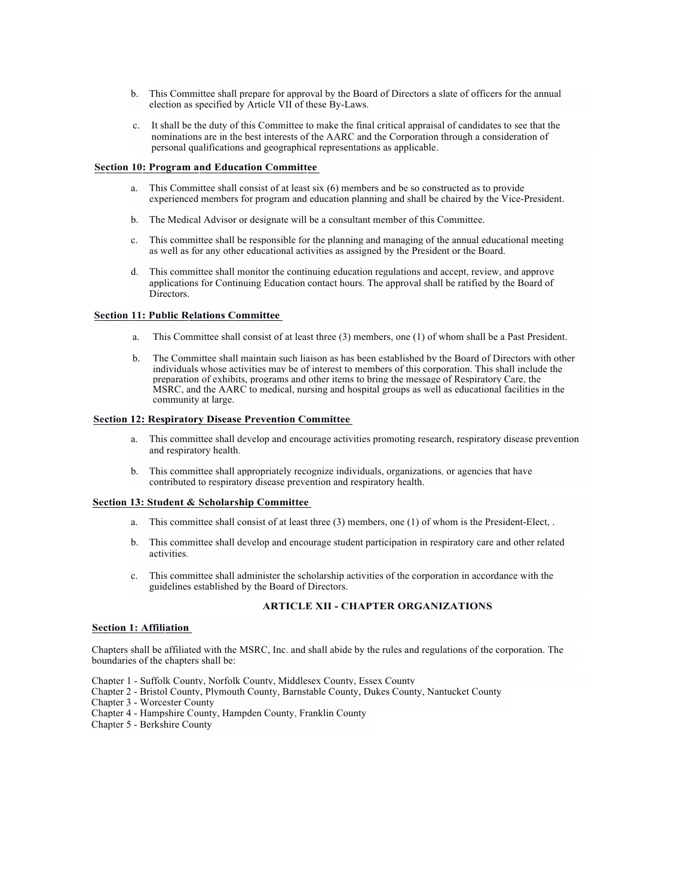- b. This Committee shall prepare for approval by the Board of Directors a slate of officers for the annual election as specified by Article VII of these By-Laws.
- c. It shall be the duty of this Committee to make the final critical appraisal of candidates to see that the nominations are in the best interests of the AARC and the Corporation through a consideration of personal qualifications and geographical representations as applicable.

## **Section 10: Program and Education Committee**

- a. This Committee shall consist of at least six (6) members and be so constructed as to provide experienced members for program and education planning and shall be chaired by the Vice-President.
- b. The Medical Advisor or designate will be a consultant member of this Committee.
- c. This committee shall be responsible for the planning and managing of the annual educational meeting as well as for any other educational activities as assigned by the President or the Board.
- d. This committee shall monitor the continuing education regulations and accept, review, and approve applications for Continuing Education contact hours. The approval shall be ratified by the Board of Directors.

## **Section 11: Public Relations Committee**

- a. This Committee shall consist of at least three (3) members, one (1) of whom shall be a Past President.
- b. The Committee shall maintain such liaison as has been established by the Board of Directors with other individuals whose activities may be of interest to members of this corporation. This shall include the preparation of exhibits, programs and other items to bring the message of Respiratory Care, the MSRC, and the AARC to medical, nursing and hospital groups as well as educational facilities in the community at large.

## **Section 12: Respiratory Disease Prevention Committee**

- a. This committee shall develop and encourage activities promoting research, respiratory disease prevention and respiratory health.
- b. This committee shall appropriately recognize individuals, organizations, or agencies that have contributed to respiratory disease prevention and respiratory health.

# **Section 13: Student & Scholarship Committee**

- a. This committee shall consist of at least three (3) members, one (1) of whom is the President-Elect, .
- b. This committee shall develop and encourage student participation in respiratory care and other related activities.
- c. This committee shall administer the scholarship activities of the corporation in accordance with the guidelines established by the Board of Directors.

# **ARTICLE XII - CHAPTER ORGANIZATIONS**

## **Section 1: Affiliation**

Chapters shall be affiliated with the MSRC, Inc. and shall abide by the rules and regulations of the corporation. The boundaries of the chapters shall be:

- Chapter 1 Suffolk County, Norfolk County, Middlesex County, Essex County
- Chapter 2 Bristol County, Plymouth County, Barnstable County, Dukes County, Nantucket County
- Chapter 3 Worcester County
- Chapter 4 Hampshire County, Hampden County, Franklin County
- Chapter 5 Berkshire County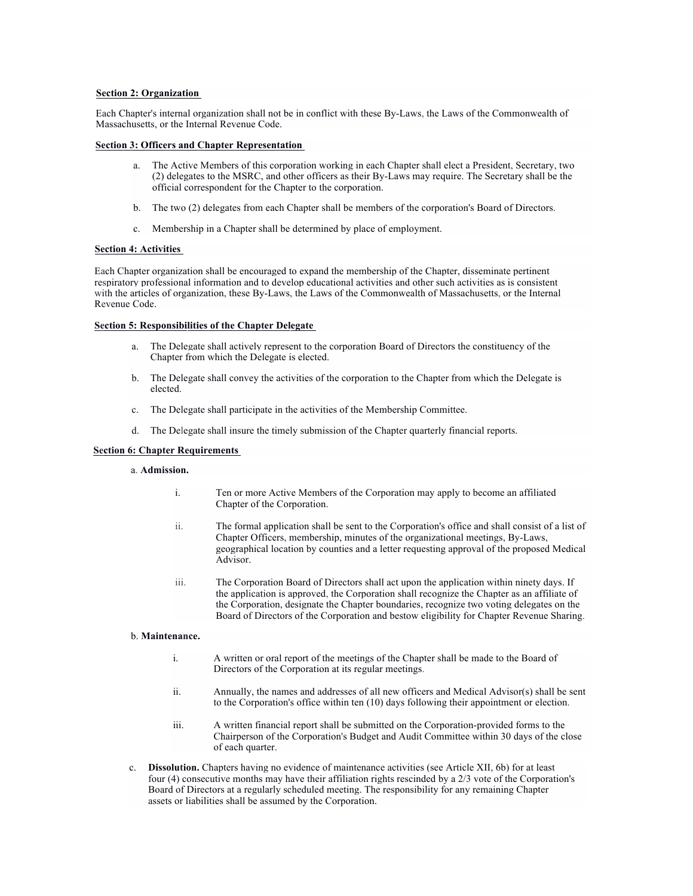# **Section 2: Organization**

Each Chapter's internal organization shall not be in conflict with these By-Laws, the Laws of the Commonwealth of Massachusetts, or the Internal Revenue Code.

## **Section 3: Officers and Chapter Representation**

- a. The Active Members of this corporation working in each Chapter shall elect a President, Secretary, two (2) delegates to the MSRC, and other officers as their By-Laws may require. The Secretary shall be the official correspondent for the Chapter to the corporation.
- b. The two (2) delegates from each Chapter shall be members of the corporation's Board of Directors.
- c. Membership in a Chapter shall be determined by place of employment.

## **Section 4: Activities**

Each Chapter organization shall be encouraged to expand the membership of the Chapter, disseminate pertinent respiratory professional information and to develop educational activities and other such activities as is consistent with the articles of organization, these By-Laws, the Laws of the Commonwealth of Massachusetts, or the Internal Revenue Code.

# **Section 5: Responsibilities of the Chapter Delegate**

- a. The Delegate shall actively represent to the corporation Board of Directors the constituency of the Chapter from which the Delegate is elected.
- b. The Delegate shall convey the activities of the corporation to the Chapter from which the Delegate is elected.
- c. The Delegate shall participate in the activities of the Membership Committee.
- d. The Delegate shall insure the timely submission of the Chapter quarterly financial reports.

## **Section 6: Chapter Requirements**

## a. **Admission.**

- i. Ten or more Active Members of the Corporation may apply to become an affiliated Chapter of the Corporation.
- ii. The formal application shall be sent to the Corporation's office and shall consist of a list of Chapter Officers, membership, minutes of the organizational meetings, By-Laws, geographical location by counties and a letter requesting approval of the proposed Medical Advisor.
- iii. The Corporation Board of Directors shall act upon the application within ninety days. If the application is approved, the Corporation shall recognize the Chapter as an affiliate of the Corporation, designate the Chapter boundaries, recognize two voting delegates on the Board of Directors of the Corporation and bestow eligibility for Chapter Revenue Sharing.

#### b. **Maintenance.**

- i. A written or oral report of the meetings of the Chapter shall be made to the Board of Directors of the Corporation at its regular meetings.
- ii. Annually, the names and addresses of all new officers and Medical Advisor(s) shall be sent to the Corporation's office within ten (10) days following their appointment or election.
- iii. A written financial report shall be submitted on the Corporation-provided forms to the Chairperson of the Corporation's Budget and Audit Committee within 30 days of the close of each quarter.
- c. **Dissolution.** Chapters having no evidence of maintenance activities (see Article XII, 6b) for at least four (4) consecutive months may have their affiliation rights rescinded by a 2/3 vote of the Corporation's Board of Directors at a regularly scheduled meeting. The responsibility for any remaining Chapter assets or liabilities shall be assumed by the Corporation.